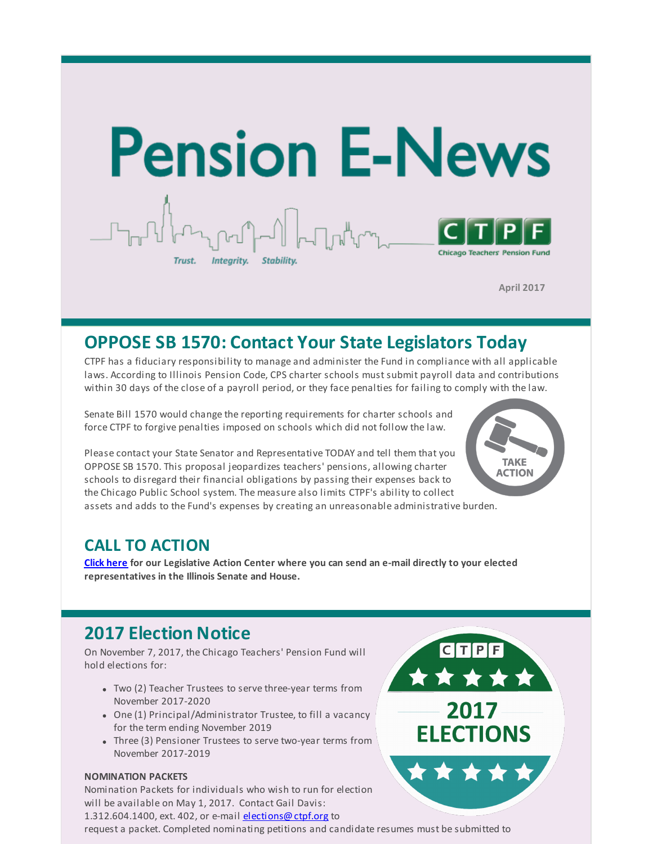

**April 2017**

## **OPPOSE SB 1570: Contact Your State Legislators Today**

CTPF has a fiduciary responsibility to manage and administer the Fund in compliance with all applicable laws. According to Illinois Pension Code, CPS charter schools must submit payroll data and contributions within 30 days of the close of a payroll period, or they face penalties for failing to comply with the law.

Senate Bill 1570 would change the reporting requirements for charter schools and force CTPF to forgive penalties imposed on schools which did not follow the law.

Please contact your State Senator and Representative TODAY and tell them that you OPPOSE SB 1570. This proposal jeopardizes teachers' pensions, allowing charter schools to disregard their financial obligations by passing their expenses back to the Chicago Public School system. The measure also limits CTPF's ability to collect assets and adds to the Fund's expenses by creating an unreasonable administrative burden.



CTPF

2017

**ELECTIONS** 

#### **CALL TO ACTION**

**Click [here](http://r20.rs6.net/tn.jsp?f=0017GAyGmY2DVUJhe8UZoqHd8D1Uf1iA-AeDG4N1_-wIfbuTqcyhZDlf4TbwSzjeIBEfXUXqwDvnTXRN-aGqIZW4NICm6pQAlP1a64zpJ6uxj-EQyP0UxF5Q_YBfW48goyUkr7HFFSDpr01zPttjBJCdEFe5DnnVsw-NTdKQkcz6q2BkeXM7JubRtLk8hNfYxFQAFss0f7Kch0OjMPIuPKsO1HfdmM3mawfIxMYDywVpa7uDLxhB7zCcg==&c=&ch=) for our Legislative Action Center where you can send an e-mail directly to your elected representatives in the Illinois Senate and House.**

## **2017 Election Notice**

On November 7, 2017, the Chicago Teachers' Pension Fund will hold elections for:

- Two (2) Teacher Trustees to serve three-year terms from November 2017-2020
- One (1) Principal/Administrator Trustee, to fill a vacancy for the term ending November 2019
- Three (3) Pensioner Trustees to serve two-year terms from November 2017-2019

#### **NOMINATION PACKETS**

Nomination Packets for individuals who wish to run for election will be available on May 1, 2017. Contact Gail Davis: 1.312.604.1400, ext. 402, or e-mail [elections@ctpf.org](mailto:elections@ctpf.org) to

request a packet. Completed nominating petitions and candidate resumes must be submitted to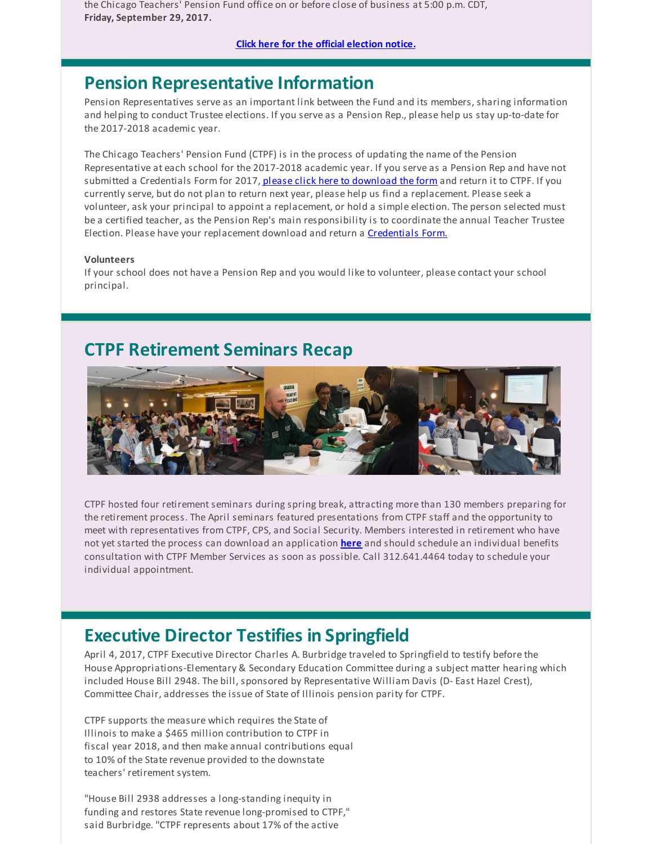the Chicago Teachers' Pension Fund office on or before close of business at 5:00 p.m. CDT, **Friday, September 29, 2017.**

**Click here for the official [election](http://r20.rs6.net/tn.jsp?f=0017GAyGmY2DVUJhe8UZoqHd8D1Uf1iA-AeDG4N1_-wIfbuTqcyhZDlf9Cjojz6uvA17B9B1HTLjQ2HDio_pdraSKMAmFVThOL-fyN9JiHj0s_fTO8HgSPtHhGKXvt84By9Dj895YI-bQ9EmDiXrk9X7zz3hGJxxRMkgj9-vqWCUdL76egr5lTBxM4OlfYlU8XFkAQmNmM2emIxtfOUvEukX-EQRIe87aj1ZKiyZ-KjrsEeAZQWXndydjkWADT7S1-V&c=&ch=) notice.**

### **Pension Representative Information**

Pension Representatives serve as an important link between the Fund and its members, sharing information and helping to conduct Trustee elections. If you serve as a Pension Rep., please help us stay up-to-date for the 2017-2018 academic year.

The Chicago Teachers' Pension Fund (CTPF) is in the process of updating the name of the Pension Representative at each school for the 2017-2018 academic year. If you serve as a Pension Rep and have not submitted a Credentials Form for 2017, please click here to [download](http://r20.rs6.net/tn.jsp?f=0017GAyGmY2DVUJhe8UZoqHd8D1Uf1iA-AeDG4N1_-wIfbuTqcyhZDlf9YFiT_GEZ4iY_yCdSMCyPkbIamRQbZKF6TywgBx5vv8s35ocIRinzBoGlD3nQFt5Rw5mFLp-26xJO0eadGICNXR3gB7fHt1AZ3UKhhnHP1TF6l44Q4qdzyh-gvB_5Ie0WGfgeRkaTHBshGdF6T0sGebMx1Ebhbah9OPJr7DuaVkotM64xvWzWuvFFk4Ra4FtYvM-iMdwFCH&c=&ch=) the form and return it to CTPF. If you currently serve, but do not plan to return next year, please help us find a replacement. Please seek a volunteer, ask your principal to appoint a replacement, or hold a simple election. The person selected must be a certified teacher, as the Pension Rep's main responsibility is to coordinate the annual Teacher Trustee Election. Please have your replacement download and return a [Credentials](http://r20.rs6.net/tn.jsp?f=0017GAyGmY2DVUJhe8UZoqHd8D1Uf1iA-AeDG4N1_-wIfbuTqcyhZDlf9YFiT_GEZ4iY_yCdSMCyPkbIamRQbZKF6TywgBx5vv8s35ocIRinzBoGlD3nQFt5Rw5mFLp-26xJO0eadGICNXR3gB7fHt1AZ3UKhhnHP1TF6l44Q4qdzyh-gvB_5Ie0WGfgeRkaTHBshGdF6T0sGebMx1Ebhbah9OPJr7DuaVkotM64xvWzWuvFFk4Ra4FtYvM-iMdwFCH&c=&ch=) Form.

#### **Volunteers**

If your school does not have a Pension Rep and you would like to volunteer, please contact your school principal.

## **CTPF Retirement Seminars Recap**



CTPF hosted four retirement seminars during spring break, attracting more than 130 members preparing for the retirement process. The April seminars featured presentations from CTPF staff and the opportunity to meet with representatives from CTPF, CPS, and Social Security. Members interested in retirement who have not yet started the process can download an application **[here](http://r20.rs6.net/tn.jsp?f=0017GAyGmY2DVUJhe8UZoqHd8D1Uf1iA-AeDG4N1_-wIfbuTqcyhZDlfxg2zVjPCAhDpyC4za3N6CQeIQQ4mQfFMcvbzw-mzh6n7j2kMTPHvNE8mvDoec7pkeD-AOcxad-70ZHpXR_euYkVrAibFcL_BFHaGhq6v7wLbZNwi0Po0JG21Nv_h0vNDxZv0tEeyImpNTHbjDGNfccFdL_cTs6qh4eQ0ygRTQiG&c=&ch=)** and should schedule an individual benefits consultation with CTPF Member Services as soon as possible. Call 312.641.4464 today to schedule your individual appointment.

### **Executive Director Testifies in Springfield**

April 4, 2017, CTPF Executive Director Charles A. Burbridge traveled to Springfield to testify before the House Appropriations-Elementary & Secondary Education Committee during a subject matter hearing which included House Bill 2948. The bill, sponsored by Representative William Davis (D- East Hazel Crest), Committee Chair, addresses the issue of State of Illinois pension parity for CTPF.

CTPF supports the measure which requires the State of Illinois to make a \$465 million contribution to CTPF in fiscal year 2018, and then make annual contributions equal to 10% of the State revenue provided to the downstate teachers' retirement system.

"House Bill 2938 addresses a long-standing inequity in funding and restores State revenue long-promised to CTPF," said Burbridge. "CTPF represents about 17% of the active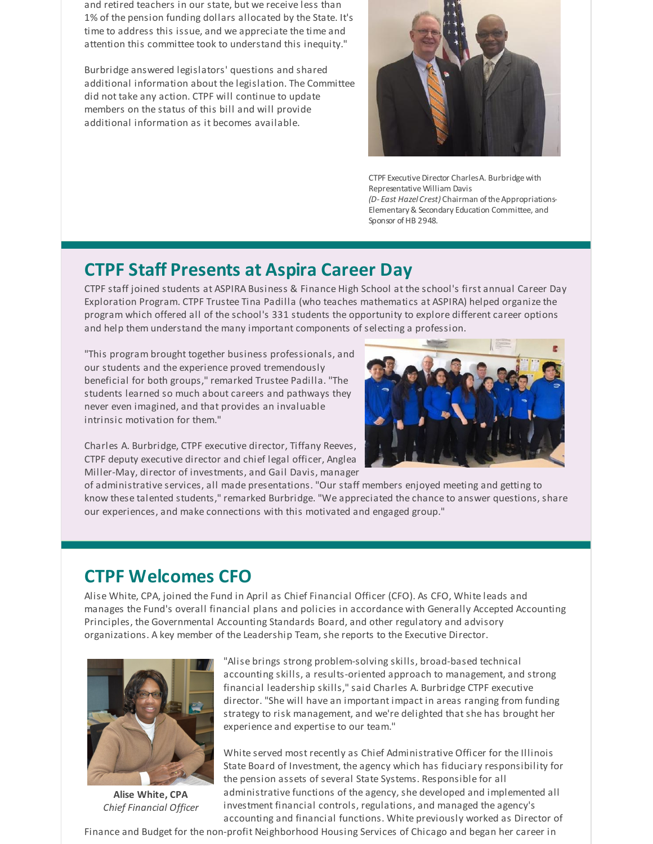and retired teachers in our state, but we receive less than 1% of the pension funding dollars allocated by the State. It's time to address this issue, and we appreciate the time and attention this committee took to understand this inequity."

Burbridge answered legislators' questions and shared additional information about the legislation. The Committee did not take any action. CTPF will continue to update members on the status of this bill and will provide additional information as it becomes available.



CTPF Executive Director Charles A. Burbridge with Representative William Davis *(D- East Hazel Crest)* Chairman oftheAppropriations-Elementary & Secondary Education Committee, and Sponsor of HB 2948.

### **CTPF Staff Presents at Aspira Career Day**

CTPF staff joined students at ASPIRA Business & Finance High School at the school's first annual Career Day Exploration Program. CTPF Trustee Tina Padilla (who teaches mathematics at ASPIRA) helped organize the program which offered all of the school's 331 students the opportunity to explore different career options and help them understand the many important components of selecting a profession.

"This program brought together business professionals, and our students and the experience proved tremendously beneficial for both groups," remarked Trustee Padilla. "The students learned so much about careers and pathways they never even imagined, and that provides an invaluable intrinsic motivation for them."

Charles A. Burbridge, CTPF executive director, Tiffany Reeves, CTPF deputy executive director and chief legal officer, Anglea Miller-May, director of investments, and Gail Davis, manager



of administrative services, all made presentations. "Our staff members enjoyed meeting and getting to know these talented students," remarked Burbridge. "We appreciated the chance to answer questions, share our experiences, and make connections with this motivated and engaged group."

## **CTPF Welcomes CFO**

Alise White, CPA, joined the Fund in April as Chief Financial Officer (CFO). As CFO, White leads and manages the Fund's overall financial plans and policies in accordance with Generally Accepted Accounting Principles, the Governmental Accounting Standards Board, and other regulatory and advisory organizations. A key member of the Leadership Team, she reports to the Executive Director.



**Alise White, CPA** *Chief Financial Officer*

"Alise brings strong problem-solving skills, broad-based technical accounting skills, a results-oriented approach to management, and strong financial leadership skills," said Charles A. Burbridge CTPF executive director. "She will have an important impact in areas ranging from funding strategy to risk management, and we're delighted that she has brought her experience and expertise to our team."

White served most recently as Chief Administrative Officer for the Illinois State Board of Investment, the agency which has fiduciary responsibility for the pension assets of several State Systems. Responsible for all administrative functions of the agency, she developed and implemented all investment financial controls, regulations, and managed the agency's accounting and financial functions. White previously worked as Director of

Finance and Budget for the non-profit Neighborhood Housing Services of Chicago and began her career in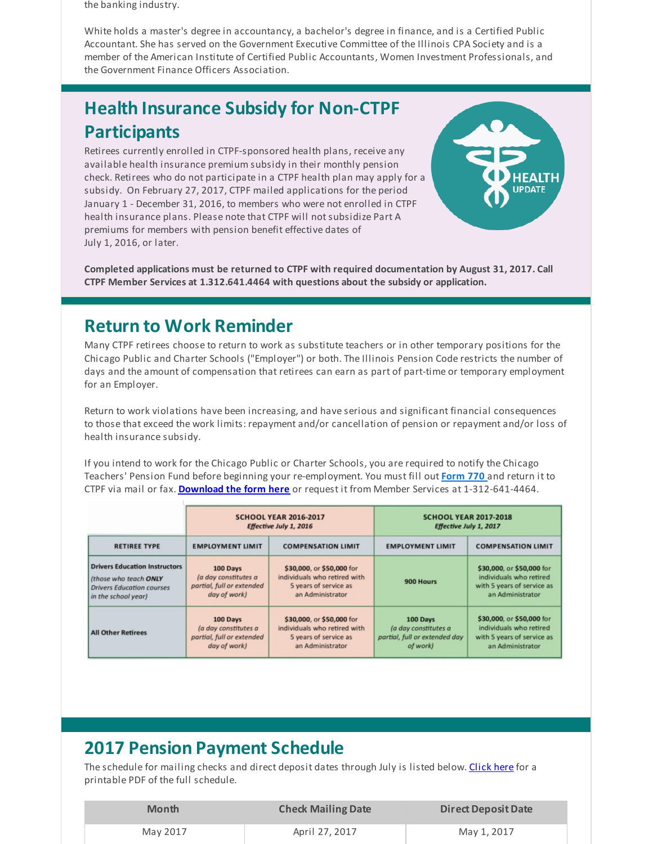the banking industry.

White holds a master's degree in accountancy, a bachelor's degree in finance, and is a Certified Public Accountant. She has served on the Government Executive Committee of the Illinois CPA Society and is a member of the American Institute of Certified Public Accountants, Women Investment Professionals, and the Government Finance Officers Association.

# **Health Insurance Subsidy for Non-CTPF Participants**

Retirees currently enrolled in CTPF-sponsored health plans, receive any available health insurance premium subsidy in their monthly pension check. Retirees who do not participate in a CTPF health plan may apply for a subsidy. On February 27, 2017, CTPF mailed applications for the period January 1 - December 31, 2016, to members who were not enrolled in CTPF health insurance plans. Please note that CTPF will not subsidize Part A premiums for members with pension benefit effective dates of July 1, 2016, or later.



**Completed applications must be returned to CTPF with required documentation by August 31, 2017. Call CTPF Member Services at 1.312.641.4464 with questions about the subsidy or application.**

## **Return to Work Reminder**

Many CTPF retirees choose to return to work as substitute teachers or in other temporary positions for the Chicago Public and Charter Schools ("Employer") or both. The Illinois Pension Code restricts the number of days and the amount of compensation that retirees can earn as part of part-time or temporary employment for an Employer.

Return to work violations have been increasing, and have serious and significant financial consequences to those that exceed the work limits: repayment and/or cancellation of pension or repayment and/or loss of health insurance subsidy.

If you intend to work for the Chicago Public or Charter Schools, you are required to notify the Chicago Teachers' Pension Fund before beginning your re-employment. You must fill out **[Form](http://r20.rs6.net/tn.jsp?f=0017GAyGmY2DVUJhe8UZoqHd8D1Uf1iA-AeDG4N1_-wIfbuTqcyhZDlf_AvJO-ASPL_pGnLhztId-dEs2Aq1GYq4ZQDU5VWNWcCYU9g0P27Sfifk9YlxUpraMHYNdua_0-ctKUTJ-ykREF4VE6AIJwSbqRmtx61juu3nyea8--NgLAJ0fgVJF-BW4om6bIiDQtn_ZiTSLshZrk=&c=&ch=) 770** and return it to CTPF via mail or fax. **[Download](http://r20.rs6.net/tn.jsp?f=0017GAyGmY2DVUJhe8UZoqHd8D1Uf1iA-AeDG4N1_-wIfbuTqcyhZDlf_AvJO-ASPL_pGnLhztId-dEs2Aq1GYq4ZQDU5VWNWcCYU9g0P27Sfifk9YlxUpraMHYNdua_0-ctKUTJ-ykREF4VE6AIJwSbqRmtx61juu3nyea8--NgLAJ0fgVJF-BW4om6bIiDQtn_ZiTSLshZrk=&c=&ch=) the form here** or request it from Member Services at 1-312-641-4464.

|                                      | <b>SCHOOL YEAR 2016-2017</b><br>Effective July 1, 2016 |                              | <b>SCHOOL YEAR 2017-2018</b><br>Effective July 1, 2017 |                            |
|--------------------------------------|--------------------------------------------------------|------------------------------|--------------------------------------------------------|----------------------------|
| <b>RETIREE TYPE</b>                  | <b>EMPLOYMENT LIMIT</b>                                | <b>COMPENSATION LIMIT</b>    | <b>EMPLOYMENT LIMIT</b>                                | <b>COMPENSATION LIMIT</b>  |
| <b>Drivers Education Instructors</b> | 100 Days                                               | \$30,000, or \$50,000 for    | 900 Hours                                              | \$30,000, or \$50,000 for  |
| (those who teach ONLY                | (a day constitutes a                                   | individuals who retired with |                                                        | individuals who retired    |
| <b>Drivers Education courses</b>     | partial, full or extended                              | 5 years of service as        |                                                        | with 5 years of service as |
| in the school year)                  | day of work)                                           | an Administrator             |                                                        | an Administrator           |
| <b>All Other Retirees</b>            | 100 Days                                               | \$30,000, or \$50,000 for    | 100 Days                                               | \$30,000, or \$50,000 for  |
|                                      | (a day constitutes a                                   | individuals who retired with | (a day constitutes a                                   | individuals who retired    |
|                                      | partial, full or extended                              | 5 years of service as        | partial, full or extended day                          | with 5 years of service as |
|                                      | day of work)                                           | an Administrator             | of work)                                               | an Administrator           |

## **2017 Pension Payment Schedule**

The schedule for mailing checks and direct deposit dates through July is listed below. [Click](http://r20.rs6.net/tn.jsp?f=0017GAyGmY2DVUJhe8UZoqHd8D1Uf1iA-AeDG4N1_-wIfbuTqcyhZDlf9gw2rzVHKotclfdrg_9ELSW1wNgXaCwCKPHKF-AtNhtb0ne5ltvUA0CRvxQvKeQ-UbCpwhNVsqFSb1PxVIF5-INQZieZzkZ7eNRzPniv0Wj2EuQs4GLPo1RaOowSsoCaVLy0qxdu_949VVfSBzw7eIQY92SZlO_GQ==&c=&ch=) here for a printable PDF of the full schedule.

| Month    | <b>Check Mailing Date</b> | <b>Direct Deposit Date</b> |
|----------|---------------------------|----------------------------|
| May 2017 | April 27, 2017            | May 1, 2017                |